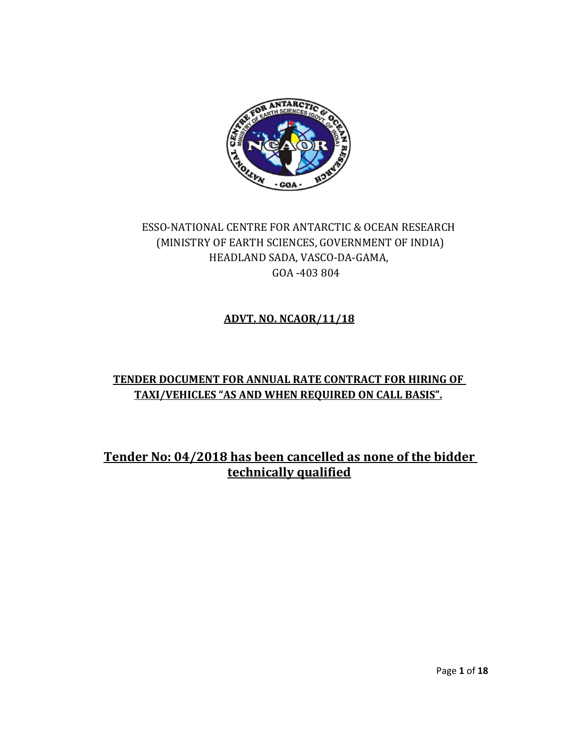

# ESSO-NATIONAL CENTRE FOR ANTARCTIC & OCEAN RESEARCH (MINISTRY OF EARTH SCIENCES, GOVERNMENT OF INDIA) HEADLAND SADA, VASCO-DA-GAMA, GOA -403 804

## **ADVT. NO. NCAOR/11/18**

### **TENDER DOCUMENT FOR ANNUAL RATE CONTRACT FOR HIRING OF TAXI/VEHICLES "AS AND WHEN REQUIRED ON CALL BASIS".**

**Tender No: 04/2018 has been cancelled as none of the bidder technically qualified**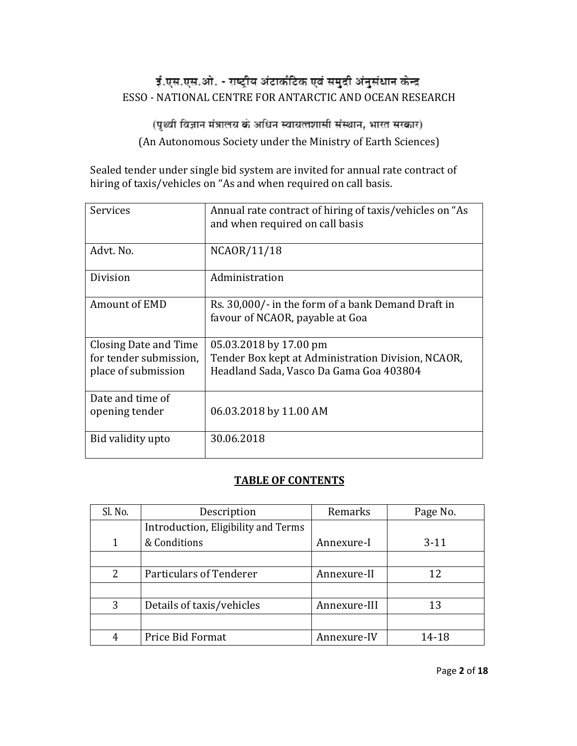# ई.एस.एस.ओ. - राष्ट्रीय अंटार्कटिक एवं समुद्री अंनुसंधान केन्द्र ESSO - NATIONAL CENTRE FOR ANTARCTIC AND OCEAN RESEARCH

(पृथ्वी विज्ञान मंत्रालय के अधिन स्वायत्तशासी संस्थान, भारत सरकार) (An Autonomous Society under the Ministry of Earth Sciences)

Sealed tender under single bid system are invited for annual rate contract of hiring of taxis/vehicles on "As and when required on call basis.

| Services                                                               | Annual rate contract of hiring of taxis/vehicles on "As<br>and when required on call basis                              |
|------------------------------------------------------------------------|-------------------------------------------------------------------------------------------------------------------------|
| Advt. No.                                                              | NCAOR/11/18                                                                                                             |
| Division                                                               | Administration                                                                                                          |
| Amount of EMD                                                          | Rs. 30,000/- in the form of a bank Demand Draft in<br>favour of NCAOR, payable at Goa                                   |
| Closing Date and Time<br>for tender submission,<br>place of submission | 05.03.2018 by 17.00 pm<br>Tender Box kept at Administration Division, NCAOR,<br>Headland Sada, Vasco Da Gama Goa 403804 |
| Date and time of<br>opening tender                                     | 06.03.2018 by 11.00 AM                                                                                                  |
| Bid validity upto                                                      | 30.06.2018                                                                                                              |

#### **TABLE OF CONTENTS**

| Sl. No. | Description                         | Remarks      | Page No. |
|---------|-------------------------------------|--------------|----------|
|         | Introduction, Eligibility and Terms |              |          |
|         | & Conditions                        | Annexure-I   | $3-11$   |
|         |                                     |              |          |
| 2       | Particulars of Tenderer             | Annexure-II  | 12       |
|         |                                     |              |          |
| 3       | Details of taxis/vehicles           | Annexure-III | 13       |
|         |                                     |              |          |
|         | Price Bid Format                    | Annexure-IV  | 14-18    |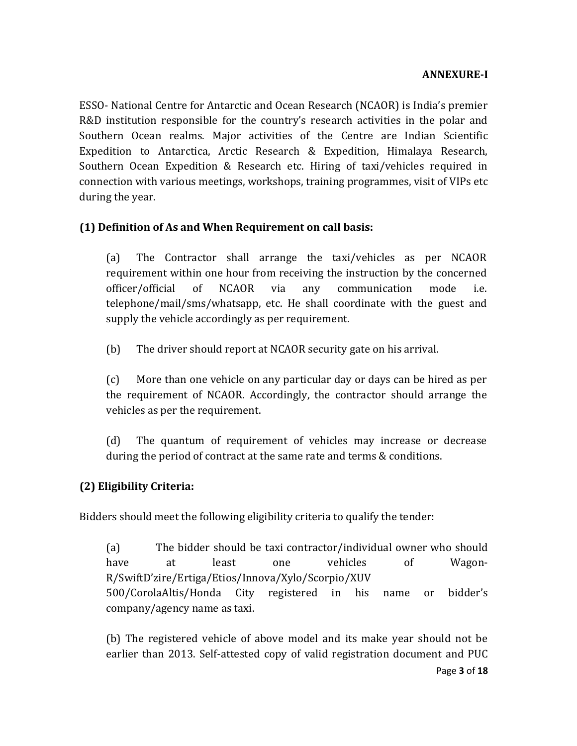ESSO- National Centre for Antarctic and Ocean Research (NCAOR) is India's premier R&D institution responsible for the country's research activities in the polar and Southern Ocean realms. Major activities of the Centre are Indian Scientific Expedition to Antarctica, Arctic Research & Expedition, Himalaya Research, Southern Ocean Expedition & Research etc. Hiring of taxi/vehicles required in connection with various meetings, workshops, training programmes, visit of VIPs etc during the year.

## **(1) Definition of As and When Requirement on call basis:**

(a) The Contractor shall arrange the taxi/vehicles as per NCAOR requirement within one hour from receiving the instruction by the concerned officer/official of NCAOR via any communication mode i.e. telephone/mail/sms/whatsapp, etc. He shall coordinate with the guest and supply the vehicle accordingly as per requirement.

(b) The driver should report at NCAOR security gate on his arrival.

(c) More than one vehicle on any particular day or days can be hired as per the requirement of NCAOR. Accordingly, the contractor should arrange the vehicles as per the requirement.

(d) The quantum of requirement of vehicles may increase or decrease during the period of contract at the same rate and terms & conditions.

## **(2) Eligibility Criteria:**

Bidders should meet the following eligibility criteria to qualify the tender:

(a) The bidder should be taxi contractor/individual owner who should have at least one vehicles of Wagon-R/SwiftD'zire/Ertiga/Etios/Innova/Xylo/Scorpio/XUV 500/CorolaAltis/Honda City registered in his name or bidder's company/agency name as taxi.

Page **3** of **18** (b) The registered vehicle of above model and its make year should not be earlier than 2013. Self-attested copy of valid registration document and PUC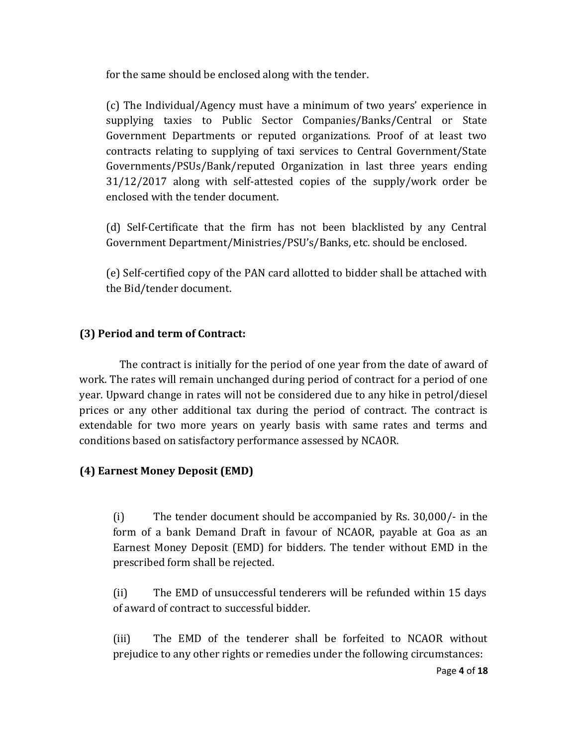for the same should be enclosed along with the tender.

(c) The Individual/Agency must have a minimum of two years' experience in supplying taxies to Public Sector Companies/Banks/Central or State Government Departments or reputed organizations. Proof of at least two contracts relating to supplying of taxi services to Central Government/State Governments/PSUs/Bank/reputed Organization in last three years ending 31/12/2017 along with self-attested copies of the supply/work order be enclosed with the tender document.

(d) Self-Certificate that the firm has not been blacklisted by any Central Government Department/Ministries/PSU's/Banks, etc. should be enclosed.

(e) Self-certified copy of the PAN card allotted to bidder shall be attached with the Bid/tender document.

### **(3) Period and term of Contract:**

The contract is initially for the period of one year from the date of award of work. The rates will remain unchanged during period of contract for a period of one year. Upward change in rates will not be considered due to any hike in petrol/diesel prices or any other additional tax during the period of contract. The contract is extendable for two more years on yearly basis with same rates and terms and conditions based on satisfactory performance assessed by NCAOR.

## **(4) Earnest Money Deposit (EMD)**

(i) The tender document should be accompanied by Rs. 30,000/- in the form of a bank Demand Draft in favour of NCAOR, payable at Goa as an Earnest Money Deposit (EMD) for bidders. The tender without EMD in the prescribed form shall be rejected.

(ii) The EMD of unsuccessful tenderers will be refunded within 15 days of award of contract to successful bidder.

(iii) The EMD of the tenderer shall be forfeited to NCAOR without prejudice to any other rights or remedies under the following circumstances: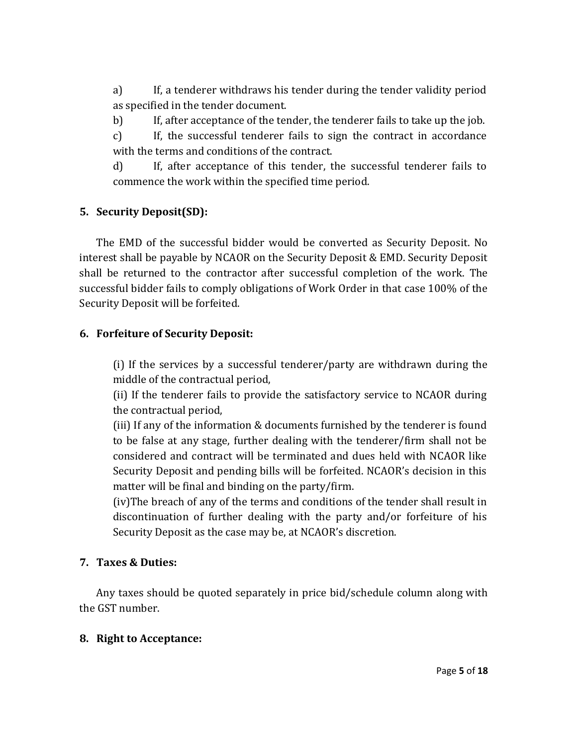a) If, a tenderer withdraws his tender during the tender validity period as specified in the tender document.

b) If, after acceptance of the tender, the tenderer fails to take up the job.

c) If, the successful tenderer fails to sign the contract in accordance with the terms and conditions of the contract.

d) If, after acceptance of this tender, the successful tenderer fails to commence the work within the specified time period.

## **5. Security Deposit(SD):**

The EMD of the successful bidder would be converted as Security Deposit. No interest shall be payable by NCAOR on the Security Deposit & EMD. Security Deposit shall be returned to the contractor after successful completion of the work. The successful bidder fails to comply obligations of Work Order in that case 100% of the Security Deposit will be forfeited.

#### **6. Forfeiture of Security Deposit:**

(i) If the services by a successful tenderer/party are withdrawn during the middle of the contractual period,

(ii) If the tenderer fails to provide the satisfactory service to NCAOR during the contractual period,

(iii) If any of the information & documents furnished by the tenderer is found to be false at any stage, further dealing with the tenderer/firm shall not be considered and contract will be terminated and dues held with NCAOR like Security Deposit and pending bills will be forfeited. NCAOR's decision in this matter will be final and binding on the party/firm.

(iv)The breach of any of the terms and conditions of the tender shall result in discontinuation of further dealing with the party and/or forfeiture of his Security Deposit as the case may be, at NCAOR's discretion.

#### **7. Taxes & Duties:**

Any taxes should be quoted separately in price bid/schedule column along with the GST number.

#### **8. Right to Acceptance:**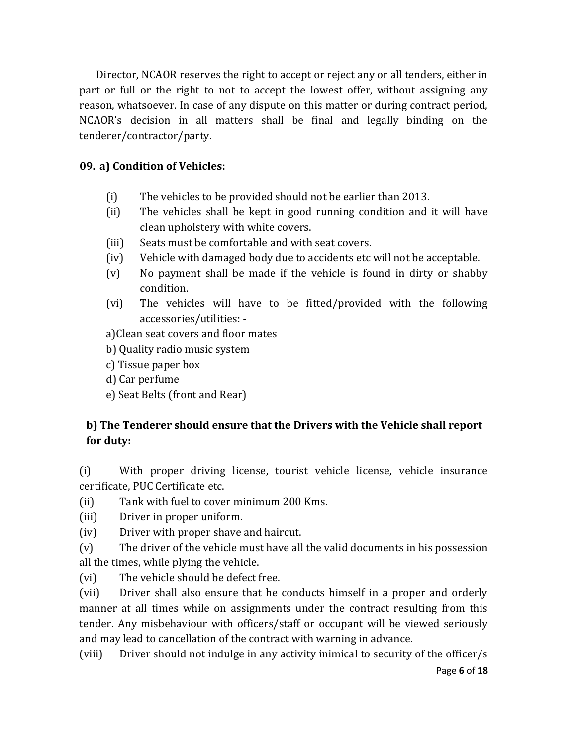Director, NCAOR reserves the right to accept or reject any or all tenders, either in part or full or the right to not to accept the lowest offer, without assigning any reason, whatsoever. In case of any dispute on this matter or during contract period, NCAOR's decision in all matters shall be final and legally binding on the tenderer/contractor/party.

#### **09. a) Condition of Vehicles:**

- (i) The vehicles to be provided should not be earlier than 2013.
- (ii) The vehicles shall be kept in good running condition and it will have clean upholstery with white covers.
- (iii) Seats must be comfortable and with seat covers.
- (iv) Vehicle with damaged body due to accidents etc will not be acceptable.
- (v) No payment shall be made if the vehicle is found in dirty or shabby condition.
- (vi) The vehicles will have to be fitted/provided with the following accessories/utilities: -

a)Clean seat covers and floor mates

- b) Quality radio music system
- c) Tissue paper box
- d) Car perfume
- e) Seat Belts (front and Rear)

## **b) The Tenderer should ensure that the Drivers with the Vehicle shall report for duty:**

(i) With proper driving license, tourist vehicle license, vehicle insurance certificate, PUC Certificate etc.

(ii) Tank with fuel to cover minimum 200 Kms.

- (iii) Driver in proper uniform.
- (iv) Driver with proper shave and haircut.

(v) The driver of the vehicle must have all the valid documents in his possession all the times, while plying the vehicle.

(vi) The vehicle should be defect free.

(vii) Driver shall also ensure that he conducts himself in a proper and orderly manner at all times while on assignments under the contract resulting from this tender. Any misbehaviour with officers/staff or occupant will be viewed seriously and may lead to cancellation of the contract with warning in advance.

Page **6** of **18** (viii) Driver should not indulge in any activity inimical to security of the officer/s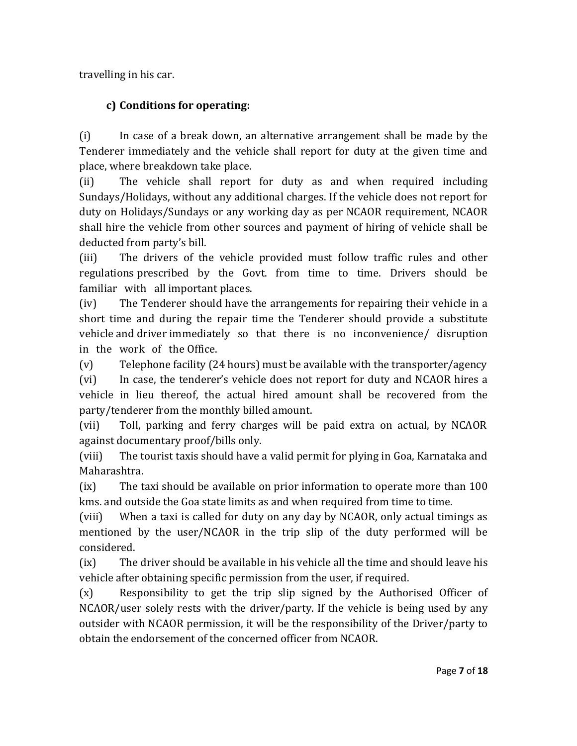travelling in his car.

# **c) Conditions for operating:**

(i) In case of a break down, an alternative arrangement shall be made by the Tenderer immediately and the vehicle shall report for duty at the given time and place, where breakdown take place.

(ii) The vehicle shall report for duty as and when required including Sundays/Holidays, without any additional charges. If the vehicle does not report for duty on Holidays/Sundays or any working day as per NCAOR requirement, NCAOR shall hire the vehicle from other sources and payment of hiring of vehicle shall be deducted from party's bill.

(iii) The drivers of the vehicle provided must follow traffic rules and other regulations prescribed by the Govt. from time to time. Drivers should be familiar with all important places.

(iv) The Tenderer should have the arrangements for repairing their vehicle in a short time and during the repair time the Tenderer should provide a substitute vehicle and driver immediately so that there is no inconvenience/ disruption in the work of the Office.

(v) Telephone facility (24 hours) must be available with the transporter/agency (vi) In case, the tenderer's vehicle does not report for duty and NCAOR hires a vehicle in lieu thereof, the actual hired amount shall be recovered from the party/tenderer from the monthly billed amount.

(vii) Toll, parking and ferry charges will be paid extra on actual, by NCAOR against documentary proof/bills only.

(viii) The tourist taxis should have a valid permit for plying in Goa, Karnataka and Maharashtra.

(ix) The taxi should be available on prior information to operate more than 100 kms. and outside the Goa state limits as and when required from time to time.

(viii) When a taxi is called for duty on any day by NCAOR, only actual timings as mentioned by the user/NCAOR in the trip slip of the duty performed will be considered.

(ix) The driver should be available in his vehicle all the time and should leave his vehicle after obtaining specific permission from the user, if required.

(x) Responsibility to get the trip slip signed by the Authorised Officer of NCAOR/user solely rests with the driver/party. If the vehicle is being used by any outsider with NCAOR permission, it will be the responsibility of the Driver/party to obtain the endorsement of the concerned officer from NCAOR.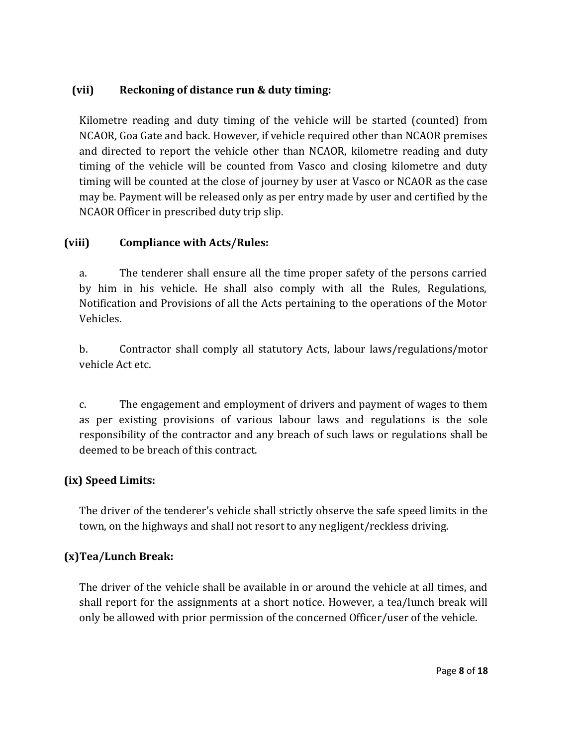## **(vii) Reckoning of distance run & duty timing:**

Kilometre reading and duty timing of the vehicle will be started (counted) from NCAOR, Goa Gate and back. However, if vehicle required other than NCAOR premises and directed to report the vehicle other than NCAOR, kilometre reading and duty timing of the vehicle will be counted from Vasco and closing kilometre and duty timing will be counted at the close of journey by user at Vasco or NCAOR as the case may be. Payment will be released only as per entry made by user and certified by the NCAOR Officer in prescribed duty trip slip.

### **(viii) Compliance with Acts/Rules:**

a. The tenderer shall ensure all the time proper safety of the persons carried by him in his vehicle. He shall also comply with all the Rules, Regulations, Notification and Provisions of all the Acts pertaining to the operations of the Motor Vehicles.

b. Contractor shall comply all statutory Acts, labour laws/regulations/motor vehicle Act etc.

c. The engagement and employment of drivers and payment of wages to them as per existing provisions of various labour laws and regulations is the sole responsibility of the contractor and any breach of such laws or regulations shall be deemed to be breach of this contract.

## **(ix) Speed Limits:**

The driver of the tenderer's vehicle shall strictly observe the safe speed limits in the town, on the highways and shall not resort to any negligent/reckless driving.

## **(x)Tea/Lunch Break:**

The driver of the vehicle shall be available in or around the vehicle at all times, and shall report for the assignments at a short notice. However, a tea/lunch break will only be allowed with prior permission of the concerned Officer/user of the vehicle.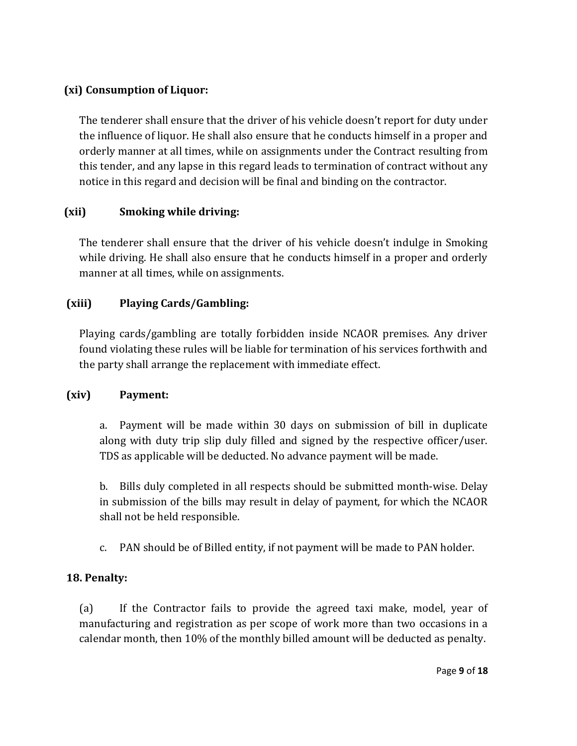### **(xi) Consumption of Liquor:**

The tenderer shall ensure that the driver of his vehicle doesn't report for duty under the influence of liquor. He shall also ensure that he conducts himself in a proper and orderly manner at all times, while on assignments under the Contract resulting from this tender, and any lapse in this regard leads to termination of contract without any notice in this regard and decision will be final and binding on the contractor.

## **(xii) Smoking while driving:**

The tenderer shall ensure that the driver of his vehicle doesn't indulge in Smoking while driving. He shall also ensure that he conducts himself in a proper and orderly manner at all times, while on assignments.

## **(xiii) Playing Cards/Gambling:**

Playing cards/gambling are totally forbidden inside NCAOR premises. Any driver found violating these rules will be liable for termination of his services forthwith and the party shall arrange the replacement with immediate effect.

#### **(xiv) Payment:**

a. Payment will be made within 30 days on submission of bill in duplicate along with duty trip slip duly filled and signed by the respective officer/user. TDS as applicable will be deducted. No advance payment will be made.

b. Bills duly completed in all respects should be submitted month-wise. Delay in submission of the bills may result in delay of payment, for which the NCAOR shall not be held responsible.

c. PAN should be of Billed entity, if not payment will be made to PAN holder.

## **18. Penalty:**

(a) If the Contractor fails to provide the agreed taxi make, model, year of manufacturing and registration as per scope of work more than two occasions in a calendar month, then 10% of the monthly billed amount will be deducted as penalty.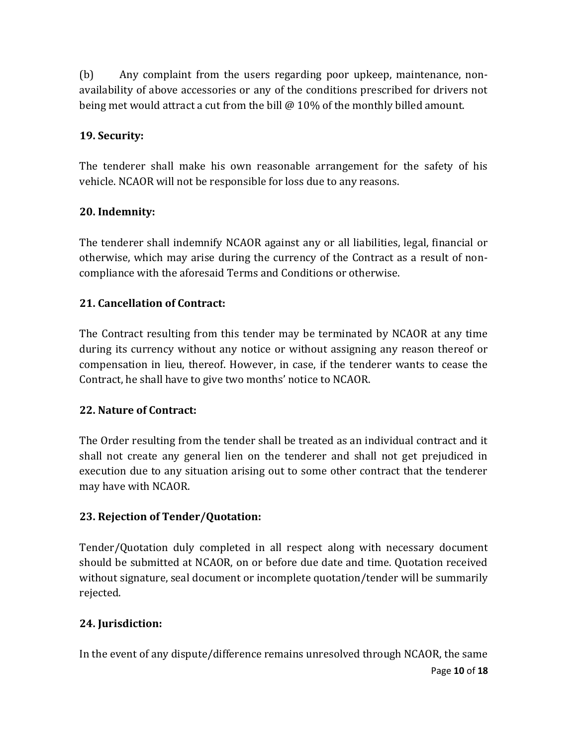(b) Any complaint from the users regarding poor upkeep, maintenance, nonavailability of above accessories or any of the conditions prescribed for drivers not being met would attract a cut from the bill @ 10% of the monthly billed amount.

#### **19. Security:**

The tenderer shall make his own reasonable arrangement for the safety of his vehicle. NCAOR will not be responsible for loss due to any reasons.

### **20. Indemnity:**

The tenderer shall indemnify NCAOR against any or all liabilities, legal, financial or otherwise, which may arise during the currency of the Contract as a result of noncompliance with the aforesaid Terms and Conditions or otherwise.

### **21. Cancellation of Contract:**

The Contract resulting from this tender may be terminated by NCAOR at any time during its currency without any notice or without assigning any reason thereof or compensation in lieu, thereof. However, in case, if the tenderer wants to cease the Contract, he shall have to give two months' notice to NCAOR.

#### **22. Nature of Contract:**

The Order resulting from the tender shall be treated as an individual contract and it shall not create any general lien on the tenderer and shall not get prejudiced in execution due to any situation arising out to some other contract that the tenderer may have with NCAOR.

#### **23. Rejection of Tender/Quotation:**

Tender/Quotation duly completed in all respect along with necessary document should be submitted at NCAOR, on or before due date and time. Quotation received without signature, seal document or incomplete quotation/tender will be summarily rejected.

#### **24. Jurisdiction:**

Page **10** of **18** In the event of any dispute/difference remains unresolved through NCAOR, the same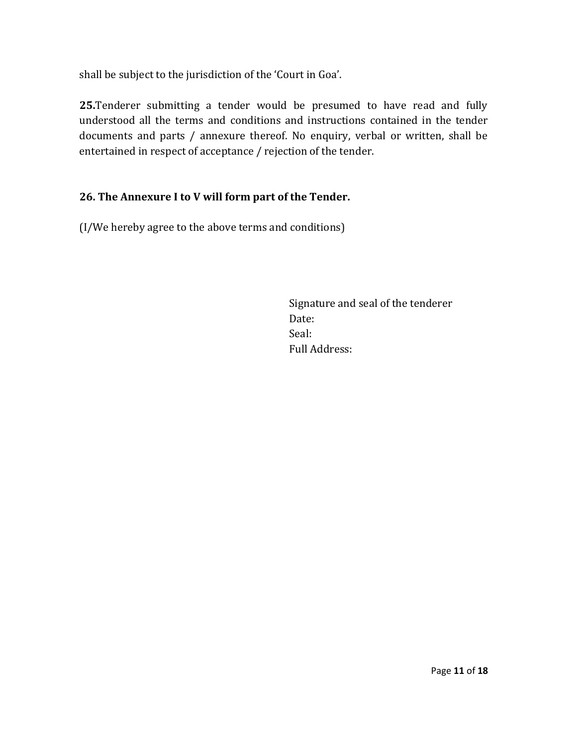shall be subject to the jurisdiction of the 'Court in Goa'.

**25.**Tenderer submitting a tender would be presumed to have read and fully understood all the terms and conditions and instructions contained in the tender documents and parts / annexure thereof. No enquiry, verbal or written, shall be entertained in respect of acceptance / rejection of the tender.

## **26. The Annexure I to V will form part of the Tender.**

(I/We hereby agree to the above terms and conditions)

Signature and seal of the tenderer Date: Seal: Full Address: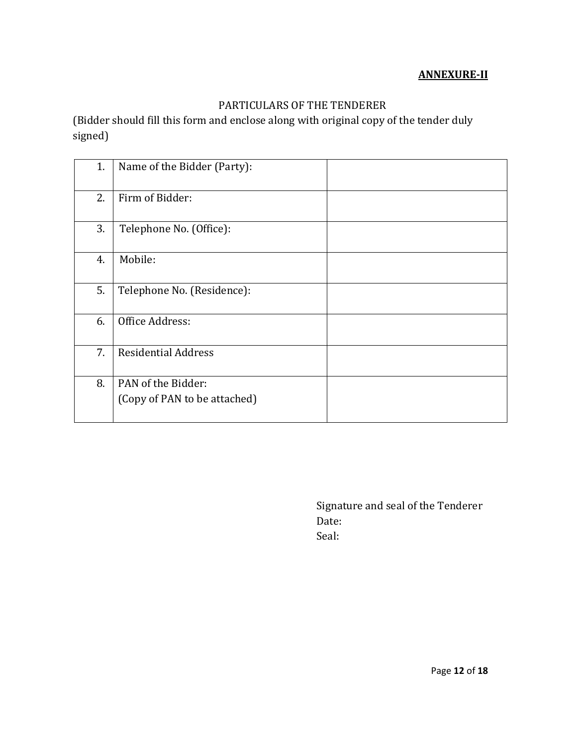#### **ANNEXURE-II**

## PARTICULARS OF THE TENDERER

(Bidder should fill this form and enclose along with original copy of the tender duly signed)

| 1. | Name of the Bidder (Party):                        |
|----|----------------------------------------------------|
| 2. | Firm of Bidder:                                    |
| 3. | Telephone No. (Office):                            |
| 4. | Mobile:                                            |
| 5. | Telephone No. (Residence):                         |
| 6. | Office Address:                                    |
| 7. | <b>Residential Address</b>                         |
| 8. | PAN of the Bidder:<br>(Copy of PAN to be attached) |

Signature and seal of the Tenderer Date: Seal: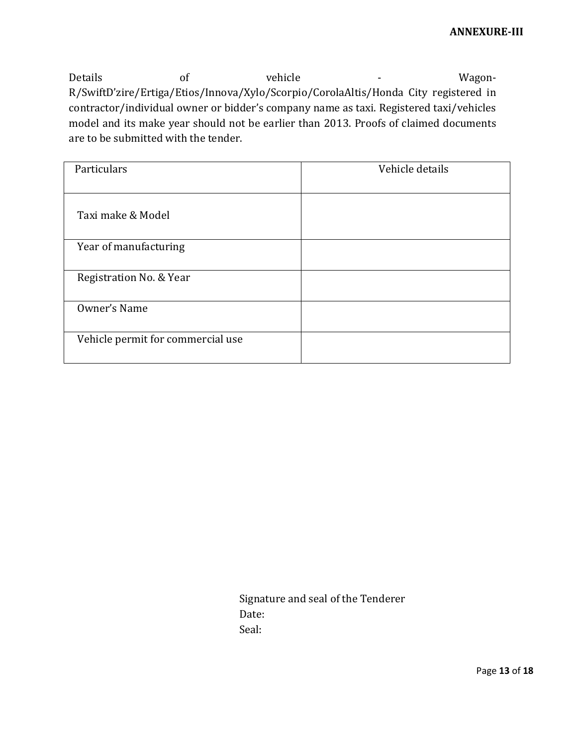Details of vehicle - Wagon-R/SwiftD'zire/Ertiga/Etios/Innova/Xylo/Scorpio/CorolaAltis/Honda City registered in contractor/individual owner or bidder's company name as taxi. Registered taxi/vehicles model and its make year should not be earlier than 2013. Proofs of claimed documents are to be submitted with the tender.

| Particulars                       | Vehicle details |
|-----------------------------------|-----------------|
| Taxi make & Model                 |                 |
| Year of manufacturing             |                 |
| Registration No. & Year           |                 |
| Owner's Name                      |                 |
| Vehicle permit for commercial use |                 |

Signature and seal of the Tenderer Date: Seal: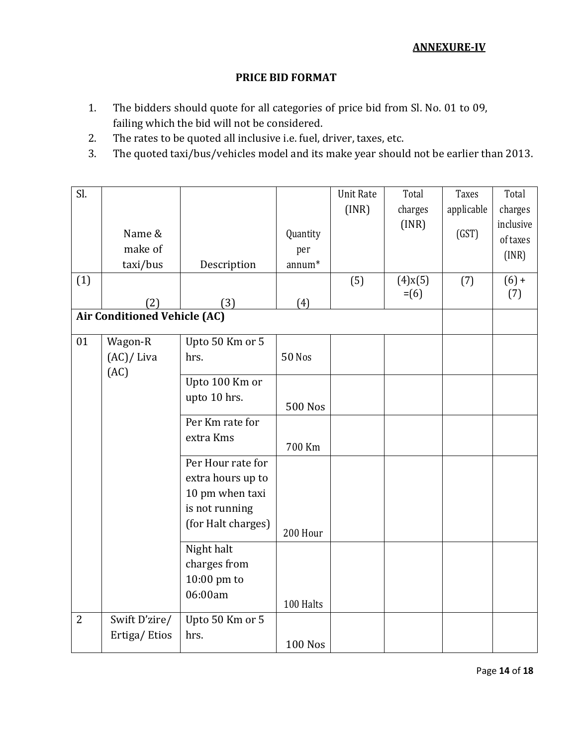#### **ANNEXURE-IV**

#### **PRICE BID FORMAT**

- 1. The bidders should quote for all categories of price bid from Sl. No. 01 to 09, failing which the bid will not be considered.
- 2. The rates to be quoted all inclusive i.e. fuel, driver, taxes, etc.
- 3. The quoted taxi/bus/vehicles model and its make year should not be earlier than 2013.

| Sl.            |                                     |                    |                    | <b>Unit Rate</b> | Total         | Taxes      | Total     |
|----------------|-------------------------------------|--------------------|--------------------|------------------|---------------|------------|-----------|
|                |                                     |                    |                    | (INR)            | charges       | applicable | charges   |
|                |                                     |                    |                    |                  | (INR)         |            | inclusive |
|                | Name &                              |                    | Quantity           |                  |               | (GST)      | of taxes  |
|                | make of                             |                    | per                |                  |               |            | (INR)     |
|                | taxi/bus                            | Description        | annum <sup>*</sup> |                  |               |            |           |
| (1)            |                                     |                    |                    | (5)              | $(4)$ x $(5)$ | (7)        | $(6) +$   |
|                | (2)                                 | (3)                | (4)                |                  | $= (6)$       |            | (7)       |
|                | <b>Air Conditioned Vehicle (AC)</b> |                    |                    |                  |               |            |           |
|                |                                     |                    |                    |                  |               |            |           |
| 01             | Wagon-R                             | Upto 50 Km or 5    |                    |                  |               |            |           |
|                | (AC)/ Liva                          | hrs.               | <b>50 Nos</b>      |                  |               |            |           |
|                | (AC)                                | Upto 100 Km or     |                    |                  |               |            |           |
|                |                                     | upto 10 hrs.       |                    |                  |               |            |           |
|                |                                     |                    | <b>500 Nos</b>     |                  |               |            |           |
|                |                                     | Per Km rate for    |                    |                  |               |            |           |
|                |                                     | extra Kms          |                    |                  |               |            |           |
|                |                                     |                    | 700 Km             |                  |               |            |           |
|                |                                     | Per Hour rate for  |                    |                  |               |            |           |
|                |                                     | extra hours up to  |                    |                  |               |            |           |
|                |                                     | 10 pm when taxi    |                    |                  |               |            |           |
|                |                                     | is not running     |                    |                  |               |            |           |
|                |                                     | (for Halt charges) | 200 Hour           |                  |               |            |           |
|                |                                     | Night halt         |                    |                  |               |            |           |
|                |                                     | charges from       |                    |                  |               |            |           |
|                |                                     | 10:00 pm to        |                    |                  |               |            |           |
|                |                                     | 06:00am            |                    |                  |               |            |           |
|                |                                     |                    | 100 Halts          |                  |               |            |           |
| $\overline{2}$ | Swift D'zire/                       | Upto 50 Km or 5    |                    |                  |               |            |           |
|                | Ertiga/Etios                        | hrs.               |                    |                  |               |            |           |
|                |                                     |                    | <b>100 Nos</b>     |                  |               |            |           |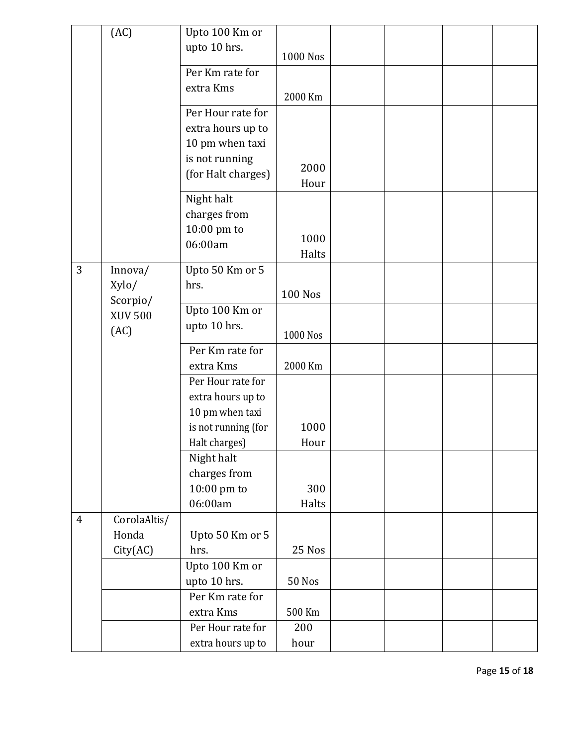|                | (AC)           | Upto 100 Km or      |                |  |  |
|----------------|----------------|---------------------|----------------|--|--|
|                |                |                     |                |  |  |
|                |                | upto 10 hrs.        | 1000 Nos       |  |  |
|                |                | Per Km rate for     |                |  |  |
|                |                | extra Kms           |                |  |  |
|                |                |                     | 2000 Km        |  |  |
|                |                | Per Hour rate for   |                |  |  |
|                |                | extra hours up to   |                |  |  |
|                |                | 10 pm when taxi     |                |  |  |
|                |                | is not running      |                |  |  |
|                |                | (for Halt charges)  | 2000           |  |  |
|                |                |                     | Hour           |  |  |
|                |                | Night halt          |                |  |  |
|                |                | charges from        |                |  |  |
|                |                | 10:00 pm to         |                |  |  |
|                |                | 06:00am             | 1000           |  |  |
|                |                |                     | Halts          |  |  |
| 3              | Innova/        | Upto 50 Km or 5     |                |  |  |
|                | Xylo/          | hrs.                | <b>100 Nos</b> |  |  |
|                | Scorpio/       | Upto 100 Km or      |                |  |  |
|                | <b>XUV 500</b> | upto 10 hrs.        |                |  |  |
|                | (AC)           |                     | 1000 Nos       |  |  |
|                |                | Per Km rate for     |                |  |  |
|                |                | extra Kms           | 2000 Km        |  |  |
|                |                | Per Hour rate for   |                |  |  |
|                |                | extra hours up to   |                |  |  |
|                |                | 10 pm when taxi     |                |  |  |
|                |                | is not running (for | 1000           |  |  |
|                |                | Halt charges)       | Hour           |  |  |
|                |                | Night halt          |                |  |  |
|                |                | charges from        |                |  |  |
|                |                | 10:00 pm to         | 300            |  |  |
|                |                | 06:00am             | Halts          |  |  |
| $\overline{4}$ | CorolaAltis/   |                     |                |  |  |
|                | Honda          | Upto 50 Km or 5     |                |  |  |
|                | City(AC)       | hrs.                | 25 Nos         |  |  |
|                |                | Upto 100 Km or      |                |  |  |
|                |                | upto 10 hrs.        | <b>50 Nos</b>  |  |  |
|                |                | Per Km rate for     |                |  |  |
|                |                | extra Kms           | 500 Km         |  |  |
|                |                | Per Hour rate for   | 200            |  |  |
|                |                |                     |                |  |  |
|                |                | extra hours up to   | hour           |  |  |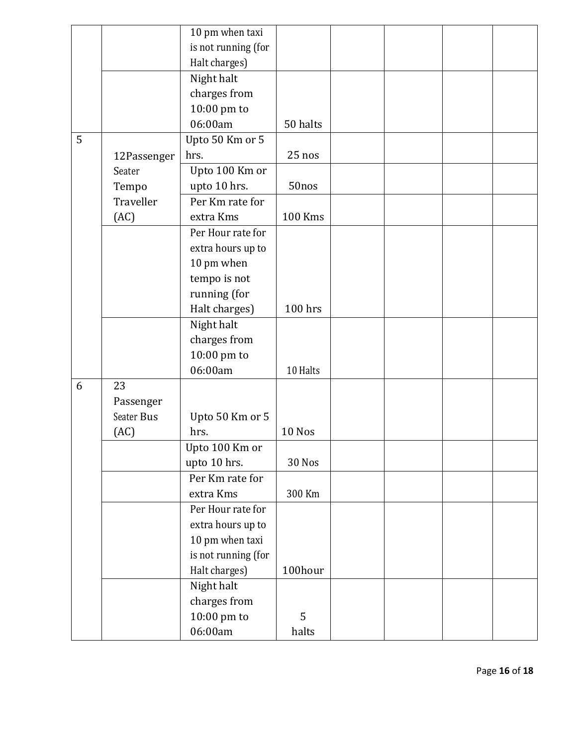|   |             | 10 pm when taxi     |                |  |  |
|---|-------------|---------------------|----------------|--|--|
|   |             | is not running (for |                |  |  |
|   |             | Halt charges)       |                |  |  |
|   |             | Night halt          |                |  |  |
|   |             | charges from        |                |  |  |
|   |             | 10:00 pm to         |                |  |  |
|   |             | 06:00am             | 50 halts       |  |  |
| 5 |             | Upto 50 Km or 5     |                |  |  |
|   | 12Passenger | hrs.                | 25 nos         |  |  |
|   | Seater      | Upto 100 Km or      |                |  |  |
|   | Tempo       | upto 10 hrs.        | 50nos          |  |  |
|   | Traveller   | Per Km rate for     |                |  |  |
|   | (AC)        | extra Kms           | <b>100 Kms</b> |  |  |
|   |             | Per Hour rate for   |                |  |  |
|   |             | extra hours up to   |                |  |  |
|   |             | 10 pm when          |                |  |  |
|   |             | tempo is not        |                |  |  |
|   |             | running (for        |                |  |  |
|   |             | Halt charges)       | 100 hrs        |  |  |
|   |             | Night halt          |                |  |  |
|   |             | charges from        |                |  |  |
|   |             | 10:00 pm to         |                |  |  |
|   |             | 06:00am             | 10 Halts       |  |  |
| 6 | 23          |                     |                |  |  |
|   | Passenger   |                     |                |  |  |
|   | Seater Bus  | Upto 50 Km or 5     |                |  |  |
|   | (AC)        | hrs.                | 10 Nos         |  |  |
|   |             | Upto 100 Km or      |                |  |  |
|   |             | upto 10 hrs.        | 30 Nos         |  |  |
|   |             | Per Km rate for     |                |  |  |
|   |             | extra Kms           | 300 Km         |  |  |
|   |             | Per Hour rate for   |                |  |  |
|   |             | extra hours up to   |                |  |  |
|   |             | 10 pm when taxi     |                |  |  |
|   |             | is not running (for |                |  |  |
|   |             | Halt charges)       | 100hour        |  |  |
|   |             | Night halt          |                |  |  |
|   |             | charges from        |                |  |  |
|   |             | 10:00 pm to         | 5              |  |  |
|   |             | 06:00am             | halts          |  |  |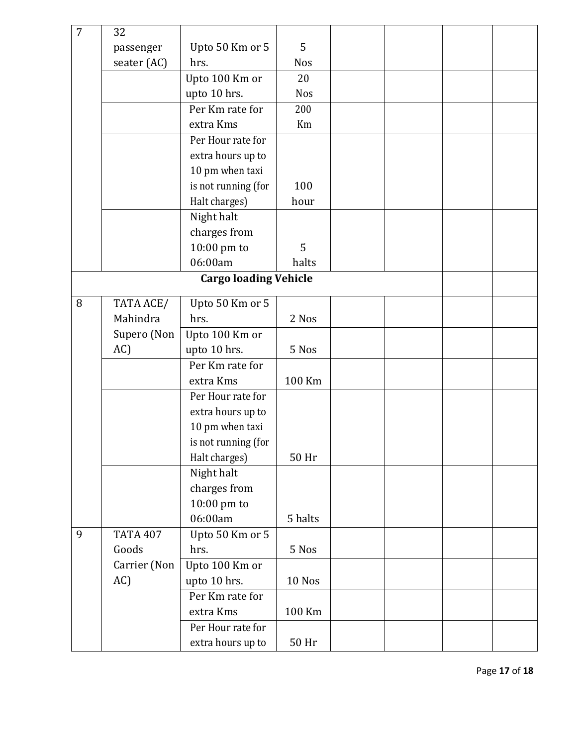| $\overline{7}$ | 32              |                              |            |  |  |
|----------------|-----------------|------------------------------|------------|--|--|
|                | passenger       | Upto 50 Km or 5              | 5          |  |  |
|                | seater (AC)     | hrs.                         | <b>Nos</b> |  |  |
|                |                 | Upto 100 Km or               | 20         |  |  |
|                |                 | upto 10 hrs.                 | <b>Nos</b> |  |  |
|                |                 | Per Km rate for              | 200        |  |  |
|                |                 | extra Kms                    | Km         |  |  |
|                |                 | Per Hour rate for            |            |  |  |
|                |                 | extra hours up to            |            |  |  |
|                |                 | 10 pm when taxi              |            |  |  |
|                |                 | is not running (for          | 100        |  |  |
|                |                 | Halt charges)                | hour       |  |  |
|                |                 | Night halt                   |            |  |  |
|                |                 | charges from                 |            |  |  |
|                |                 | 10:00 pm to                  | 5          |  |  |
|                |                 | 06:00am                      | halts      |  |  |
|                |                 | <b>Cargo loading Vehicle</b> |            |  |  |
| 8              | TATA ACE/       | Upto 50 Km or 5              |            |  |  |
|                | Mahindra        | hrs.                         | 2 Nos      |  |  |
|                | Supero (Non     | Upto 100 Km or               |            |  |  |
|                | AC)             | upto 10 hrs.                 | 5 Nos      |  |  |
|                |                 | Per Km rate for              |            |  |  |
|                |                 | extra Kms                    | 100 Km     |  |  |
|                |                 | Per Hour rate for            |            |  |  |
|                |                 | extra hours up to            |            |  |  |
|                |                 | 10 pm when taxi              |            |  |  |
|                |                 | is not running (for          |            |  |  |
|                |                 | Halt charges)                | 50 Hr      |  |  |
|                |                 | Night halt                   |            |  |  |
|                |                 | charges from                 |            |  |  |
|                |                 | 10:00 pm to                  |            |  |  |
|                |                 | 06:00am                      | 5 halts    |  |  |
| 9              | <b>TATA 407</b> | Upto 50 Km or 5              |            |  |  |
|                | Goods           | hrs.                         | 5 Nos      |  |  |
|                | Carrier (Non    | Upto 100 Km or               |            |  |  |
|                | AC)             | upto 10 hrs.                 | 10 Nos     |  |  |
|                |                 | Per Km rate for              |            |  |  |
|                |                 | extra Kms                    | 100 Km     |  |  |
|                |                 | Per Hour rate for            |            |  |  |
|                |                 |                              |            |  |  |
|                |                 | extra hours up to            | 50 Hr      |  |  |